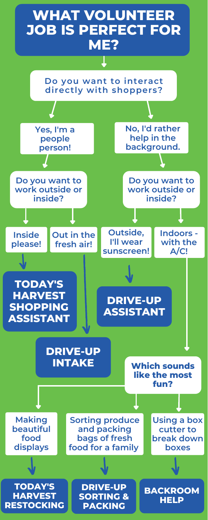# **WHAT VOLUNTEER JOB IS PERFECT FOR ME?**